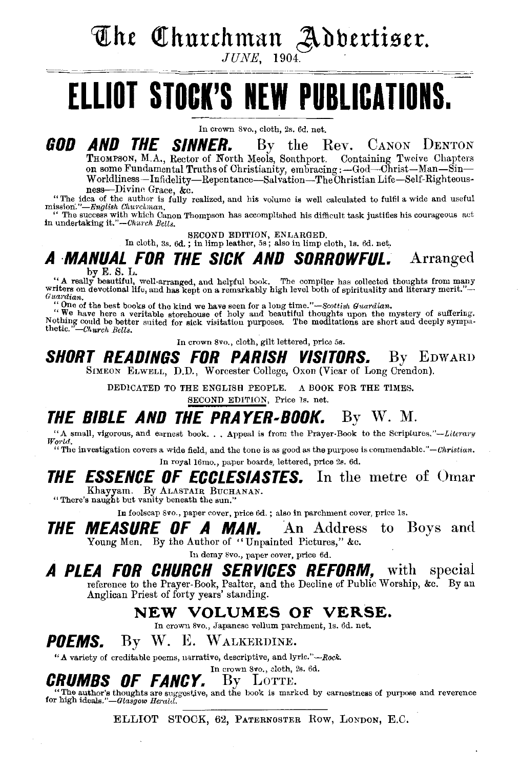The Churchman Adbertiser.

 $JUNE$ , 1904.

# **ELLIOT STOCK'S NEW PUBLICATIONS.**

In crown Svo., cloth, 2s. 6d. net.

**GOD AND THE SINNER.** By the Rev. CANON DENTON TROMPSON, M.A., Rector of North Meols, Southport. Containing Twelve Chapters on some Fundamental Truths of Christianity, embracing :-God-Christ-Man-Sin-

Worldliness-Infidelity-Repentance-Salvation-The Christian Life-Self-Righteous-<br>ness-Divine Grace. &c.

<sup>"</sup>The idea of the author is fully realized, and his volume is well calculated to fulfil a wide and useful mission."-*English Churchman*,

The success with which Canon Thompson has accomplished his difficult task justifies his courageous act in undertaking it." $-Church\ Bell_{3.}$ 

SECOND EDITION, ENLARGED. In cloth, 3s. 6d. ; in limp leather, 5s; also in limp cloth, ls. 6d. net.

## A **MANUAL FOR THE SICK AND SORROWFUL.** Arranged

by E. S. L.<br>
"A really beautiful, well-arranged, and helpful book. The compiler has collected thoughts from many<br>
writers on devotional life, and has kept on a remarkably high level both of spirituality and literary merit.

"One of the best books of the kind we have seen for a long *time."-Scottish Guardian.* "We have here a veritable storehouse of holy and beautiful thoughts upon the mystery of suffering. Nothing could be better suited for sick visitation purposes. The meditations are short and deeply sympa-<br>thetic. "-Church *Bells*.

In crown Svo., cloth, gilt lettered, price 5s.

#### SHORT READINGS FOR PARISH VISITORS. By EDWARD SIMEON ELWELL, D.D., Worcester College, Oxon (Vicar of Long Crendon).

DEDICATED TO THE ENGLISH PEOPLE. A BOOK FOR THE TIMES. SECOND EDITION, Price ls. net.

THE BIBLE AND THE PRAYER-BOOK. By W. M.<br>"A small, vigorous, and earnest book... Appeal is from the Prayer-Book to the Scriptures."—Literary

'' The investigation covers a wide field, and the tone is as good as the purpose is commendable." *-Christian.*  In royal 16mo., paper hoards, lettered, price 2s. 6d.

## **THE ESSENCE OF ECCLESIASTES.** In the metre of Omar Khayyam. By ALASTAIR BucHANAN. "There's naught but vanity beneath the sun."

In foolscap 8vo., paper cover, price 6d.; also in parchment cover, price 1s.

THE MEASURE OF A MAN. An Address to Boys and Young Men. By the Author of "Unpainted Pictures," &c.

In demy 8vo., paper cover, price 6d.

#### A PLEA FOR CHURCH SERVICES REFORM, with special reference to the Prayer-Book, Psalter, and the Decline of Public Worship, &c. By an Anglican Priest of forty years' standing.

# NEW VOLUMES OF VERSE. In crown Svo., Japanese vellum parchment, Is. 6d. net.

POEMS. By W. E. WALKERDINE.

"A variety of creditable poems, narrative, descriptive, and lyric."-Rock.

## In crown 8vo., cloth, 2s. 6d.<br>By  $L$ OTTE.

CRUMBS OF FANCY. By LOTTE. "The author's thoughts are suggestive, and the hook is marked by earnestness of purpooe and reverence for high *ideals."-Glasgow Herald.* 

ELLIOT STOCK, 62, PATERNOSTER Row, LoNDON, E.C.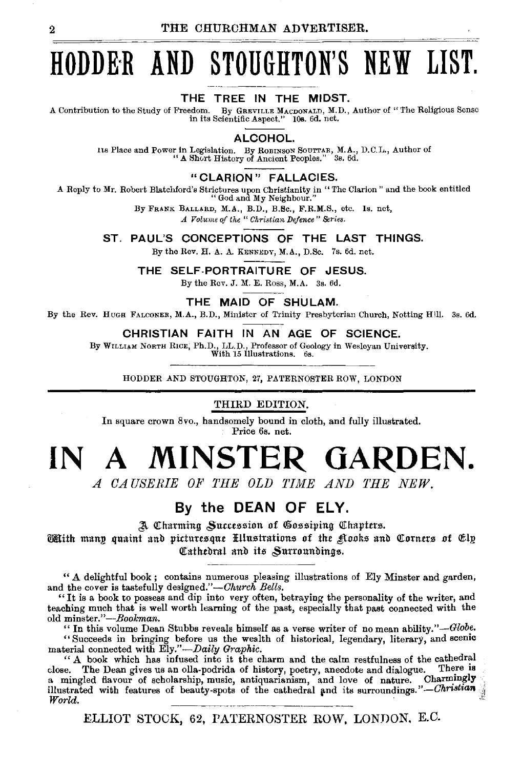# **HODDE·R AND STOUGHTON'S NEW LIST.**

#### THE TREE IN THE MIDST.

A Contribution to the Study of Freedom. By GREVILLE MACDONALD, M.D., Author of" The Religious Sense in its Scientific Aspect." lOs. 6d. net.

ALCOHOL.

Its Place and Power In Legislation. By RoBINSON SouTTAB, M.A., D.C.L., Author of " A Short History of Ancient Peoples." 3s. 6d.

"CLARION" FALLACIES.

A Reply to Mr. Robert Blatchford's Strictures upon Christianity in "The Clarion" and the book entitled "God and My Neighbour."

By FRANK BALLARD, M.A., B.D., B.Bc., F.R.M.S., etc. ls. net,

*A Volume of the "Christian Defence" Series.* 

ST. PAUL'S CONCEPTIONS OF THE LAST THINGS.

By the Rev. H. A. A. KENNEDY, M.A., D.Sc. 7s. 6d. net.

THE SELF-PORTRAITURE OF JESUS.

By the Rev. J. M. E. Ross, M.A.  $3s. 6d.$ 

THE MAID OF SHULAM.

By the Rev. Huoa FALCONER, M.A., B.D., Minister of Trinity Presbyterian Church, Notting Hill. 3s. Gd.

CHRISTIAN FAITH IN AN AGE OF SCIENCE.

By WILLIAM NORTH RICE, Ph.D., LL.D., Professor of Geology in Wesleyan University.

With 15 Illustrations. 6s.

HODDER AND STOUGHTON, 27, PATERNOSTER ROW, LONDON

#### THIRD EDITION.

In square crown 8vo., handsomely bound in cloth, and fully illustrated. Price 6s. net.

# **IN A MINSTER GARDEN.**

*A CAUSERIE OF THE OLD TIME AND THE NEW.* 

## By the **DEAN OF ELY.**

A Charming Succession of Gossiping Chapters.

 $\widetilde{\mathbb{C}\mathbb{R}}$ ith manp quaint and picturesque. Fillustrations of the  $\mathfrak K$ ooks and Corners of Elp Cathedral and its Surroundings.

" A delightful book ; contains numerous pleasing illustrations of Ely Minster and garden, and the cover is tastefully designed."-Church Bells.

"It is a book to possess and dip into very often, betraying the personality of the writer, and teaching much that is well worth learning of the past, especially that past connected with the old minster."-Bookman.

"In this volume Dean Stubbs reveals himself as a verse writer of no mean ability." $-Globe$ . "Succeeds in bringing before us the wealth of historical, legendary, literary, and scemc

material connected with Ely."-Daily Graphic.

" A book which has infused into it the charm and the calm restfulness of the cathedral close. The Dean gives us an olla-podrida of history, poetry, anecdote and dialogue. There is a mingled flavour of scholarship, music, antiquarianism, and love of nature. Charmingly illustrated with features of beauty-spots of the cathedral and its surroundings." - Christian *World*. *World.* -------~---

ELLIOT STOCK, 62, PATERNOSTER ROW, LONDON. E.C.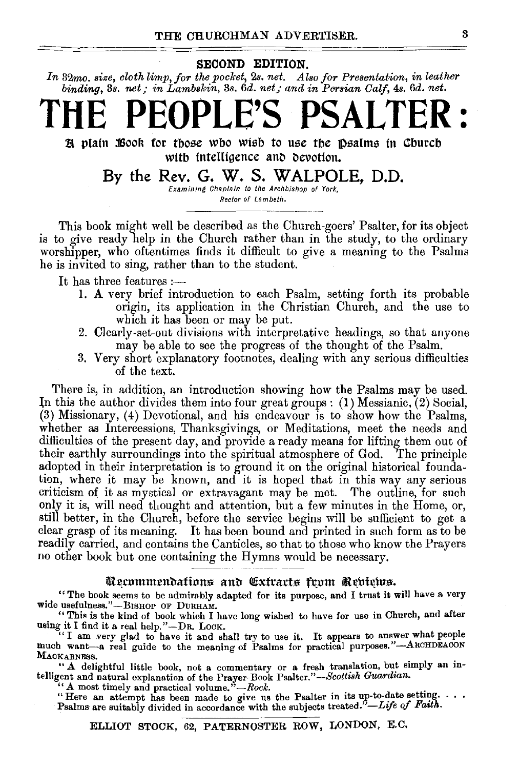#### SECOND EDITION.

*In* 32mo. *size, cloth limp, for the pocket,* 2s. *net. Also for Presentation, in leather binding, 3s. net; in Lambskin, 3s. 6d. net; and in Persian Calf, 4s. 6d. net.* 

# **THE PEOPLE'S PSALTER** :

H plain Book for those who wish to use the psalms in Church with intelligence and devotion.

By the Rev. G. W. S. WALPOLE, D.D.

Examining Chaplain to the Archbishop of York, Rector of Lambeth.

This book might well be described as the Church-goers' Psalter, for its object is to give ready help in the Church rather than in the study, to the ordinary worshipper, who oftentimes finds it difficult to give a meaning to the Psalms he is invited to sing, rather than to the student.

It has three features:—

- 1. A very brief introduction to each Psalm, setting forth its probable origin, its application in the Christian Church, and the use to which it has been or may be put.
- 2. Clearly-set-out divisions with interpretative headings, so that anyone may be able to see the progress of the thought of the Psalm.
- 3. Very short explanatory footnotes, dealing with any serious difficulties of the text.

There is, in addition, an introduction showing how the Psalms may be used. ln this the author divides them into four great groups: (1) Messianic, (2) Social, (3) Missionary, (4) Devotional, and his endeavour is to show how the Psalms, whether as Intercessions, Thanksgivings, or Meditations, meet the needs and difficulties of the present day, and provide a ready means for lifting them out of their earthly surroundings into the spiritual atmosphere of God. The principle adopted in their interpretation is to ground it on the original historical foundation, where it may be known, and it is hoped that in this way any serious criticism of it as mystical or extravagant may be met. The outline, for such only it is, will need thought and attention, but a few minutes in the Home, or, still better, in the Church, before the service begins will be sufficient to get a clear grasp of its meaning. It has been bound and printed in such form as to be readily carried, and contains the Canticles, so that to those who know the Prayers no other book but one containing the Hymns would be necessary.

#### Recommendations and Cxtracts from Rebiews.

"The book seems to be admirably adapted for its purpose, and I trust it will have a very wide usefulness."-BISHOP OF DURHAM.

"This is the kind of book which I have long wished to have for use in Church, and after using it I find it a real help."-DR. LOCK.

"I am very glad to have it and shall try to use it. It appears to answer what people much want-a real guide to the meaning of Psalms for practical purposes."-ARCHDEACON MACKARNESS.

" A delightful little book, not a commentary or a fresh translation, but simply an intelligent and natural explanation of the Prayer-Book Psalter."-Scottish Guardian.

"A most timely and practical volume." -Rock.<br>"Here an attempt has been made to give us the Psalter in its up-to-date setting.... Psalms are suitably divided in accordance with the subjects treated."-Life of Faith.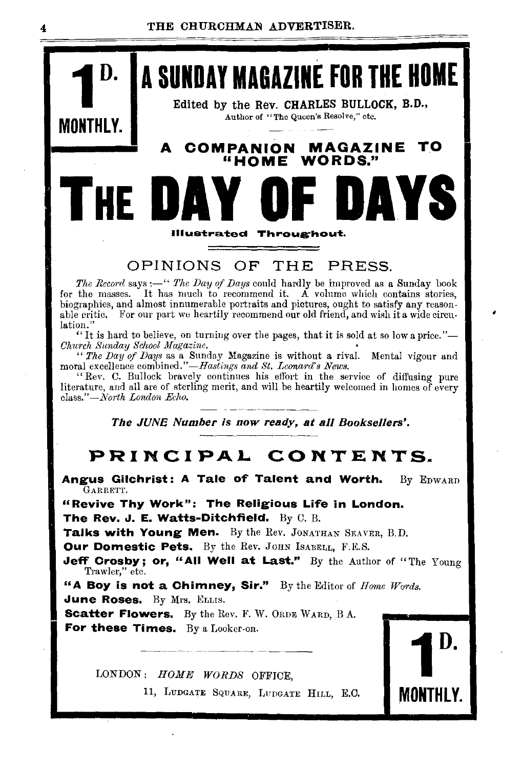

### OPINIONS OF THE PRESS.

ustrated Throughout.

 $\mathbf{r}$ 

The Record says :- " The Day of Days could hardly be improved as a Sunday book for the masses. It has much to recommend it. A volume which contains stories, biographies, and almost innumerable portraits and pictures, ought to satisfy any reasonable critic. For our part we heartily recommend our old friend, and wish it a wide circulation.

"It is hard to believe, on turning over the pages, that it is sold at so low a price."-Church Sunday School Magazine.

""The Day of Days as a Sunday Magazine is without a rival. Mental vigour and moral excellence combined."—Hastings and St. Leonard's News.

"Rev. C. Bullock bravely continues his effort in the service of diffusing pure literature, and all are of sterling merit, and will be heartily welcomed in homes of every class."-North London Echo.

The JUNE Number is now ready, at all Booksellers'.

## PRINCIPAL CONTENTS.

Angus Gilchrist: A Tale of Talent and Worth. By EDWARD GARRETT.

"Revive Thy Work": The Religious Life in London. The Rev. J. E. Watts-Ditchfield. By C. B.

Talks with Young Men. By the Rev. JONATHAN SEAVER, B.D.

Our Domestic Pets. By the Rev. JOHN ISABELL, F.E.S.

Jeff Crosby; or, "All Well at Last." By the Author of "The Young Trawler," etc.

"A Boy is not a Chimney, Sir." By the Editor of Home Words. June Roses. By Mrs. ELLIS.

**Scatter Flowers.** By the Rev. F. W. ORDE WARD, B A. For these Times. By a Looker-on.

LONDON: HOME WORDS OFFICE,

11, LUDGATE SQUARE, LUDGATE HILL, E.C.

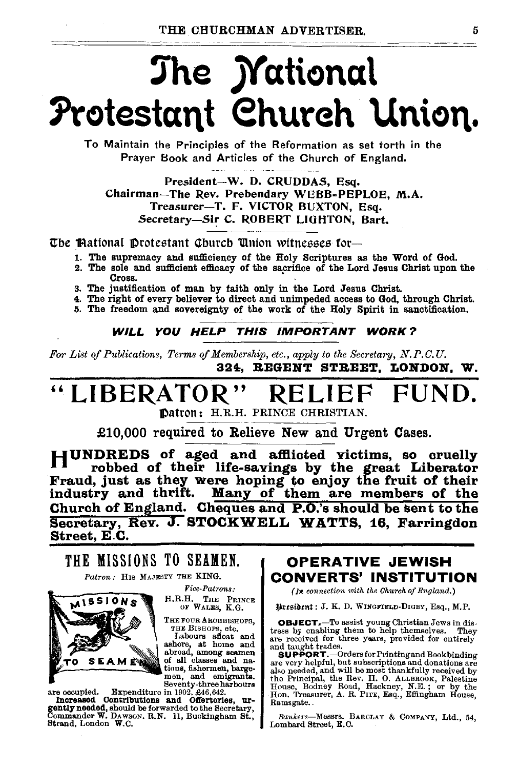# The *Mational* Protestant Church Union.

To Maintain the Principles of the Reformation as set torth in the Prayer Book and Articles of the Church of England.

President-W. D. CRUDDAS, Esq. Chairman-The Rev. Prebendary WEBB-PEPLOE. M.A. Treasurer-T. F. VICTOR BUXTON, Esq. Secretary-Sir C. ROBERT LIGHTON, Bart.

The Mational Protestant Church Union witnesses for-

- 1. The supremacy and sufficiency of the Holy Scriptures as the Word of God.
- 2. The sole and sufficient efficacy of the sacrifice of the Lord Jesus Christ upon the Cross.
- 3. The justification of man by faith only in the Lord Jesus Christ.
- 4. The right of every believer to direct and unimpeded access to God, through Christ.
- 5. The freedom and sovereignty of the work of the Holy Spirit in sanctification.

WILL YOU HELP THIS IMPORTANT WORK?

For List of Publications, Terms of Membership, etc., apply to the Secretary, N.P.C.U. 324. REGENT STREET. LONDON. W.

### "LIBERATOR FUND.

Datron: H.R.H. PRINCE CHRISTIAN.

£10,000 required to Relieve New and Urgent Cases.

HUNDREDS of aged and afflicted victims, so cruelly The robbed of their life-savings by the great Liberator<br>Fraud, just as they were hoping to enjoy the fruit of their<br>industry and thrift. Many of them are members of the Church of England. Cheques and P.O.'s should be sent to the Secretary, Rev. J. STOCKWELL WATTS, 16, Farringdon Street, E.C.

## THE MISSIONS TO SEAMEN.

Patron: HIS MAJESTY THE KING.



 $\mathbf{F}ice\text{-}\mathbf{Patrons}$ .

H.R.H. THE PRINCE OF WALES, K.G.

THE FOUR ARCHBISHOPS. THE BISHOPS, etc.

Labours afloat and<br>ashore, at home and<br>abroad, among seamen<br>of all classes and nations, fishermen, bargemen, and emigrants. Seventy-three harbours

are occupied. Expenditure in 1902, £46,642.<br>Increased Contributions and Offertories, urgently needed, should be forwarded to the Secretary, Commander W. DAWSON. R.N. 11, Buckingham St., Strand, London W.C.

### **OPERATIVE JEWISH CONVERTS' INSTITUTION**

(In connection with the Church of England.)

President: J. K. D. WINGFIELD-DIGBY, Esq., M.P.

**OBJECT.**—To assist young Christian Jews in distress by enabling them to help themselves. They are received for three years, provided for entirely and taught trades.

**SUPPORT.** -Orders for Printing and Bookbinding SUPPOR I. COURSIDED and oboximating the every helpful, but subscriptions and donations are also needed, and will be most thankfully received by the Reincipal, the Rev. H. O. ALLEROOK, Palestine House, Bodiney Road, Hackney Ramsgate.

Bankers-Messrs. BARCLAY & COMPANY, Ltd., 54. Lombard Street, E.C.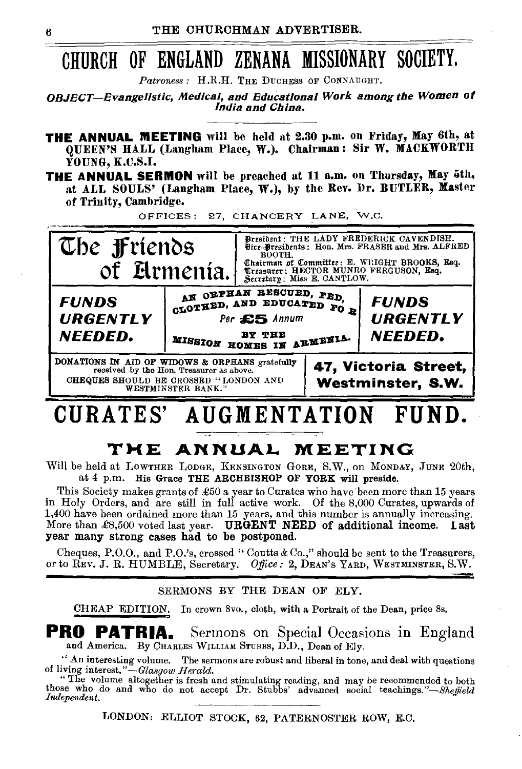## CHURCH OF ENGLAND ZENANA MISSIONARY SOCIETY.

Patroness : H.R.H. THE DUCHESS OF CONNAUGHT.

**OBJECT-Evangelistic, Medical, and Educational Work among the Women of** India and China.

- **THE ANNUAL MEETING** will be held at 2.30 p.m. on Friday, May 6th, at QUEEN'S HALL (Langham Place, W.). Chairman: Sir W. MACKWORTH YOUNG, K.C.S.I.
- THE ANNUAL SERMON will be preached at 11 a.m. on Thursday, May 5th, at ALL SOULS' (Langham Place, W.), by the Rev. Dr. BUTLER, Master of Trinity, Cambridge.

OFFICES: 27, CHANCERY LANE, W.C.



#### **AUGMENTATION** CURATES'

## THE ANNUAL MEETING

Will be held at LOWTHER LODGE, KENSINGTON GORE, S.W., on MONDAY, JUNE 20th, at 4 p.m. His Grace THE ARCHBISHOP OF YORK will preside.

This Society makes grants of £50 a year to Curates who have been more than 15 years in Holy Orders, and are still in full active work. Of the 8,000 Curates, upwards of 1,400 have been ordained more than 15 years, and this number is annually increasing. More than  $\pounds8,500$  voted last year. URGENT NEED of additional income. year many strong cases had to be postponed.

Cheques, P.O.O., and P.O.'s, crossed "Coutts & Co.," should be sent to the Treasurers, or to Rev. J. R. HUMBLE, Secretary. Office: 2, DEAN'S YARD, WESTMINSTER, S.W.

SERMONS BY THE DEAN OF ELY.

In crown 8vo., cloth, with a Portrait of the Dean, price 8s. CHEAP EDITION.

**PRO PATRIA.** Sermons on Special Occasions in England and America. By CHARLES WILLIAM STUBBS, D.D., Dean of Ely.

" An interesting volume. The sermons are robust and liberal in tone, and deal with questions of living interest."-Glasgow Herald.

"The volume altogether is fresh and stimulating reading, and may be recommended to both those who do and who do not accept Dr. Stubbs' advanced social teachings."-Sheffield Independent.

LONDON: ELLIOT STOCK, 62, PATERNOSTER ROW, E.C.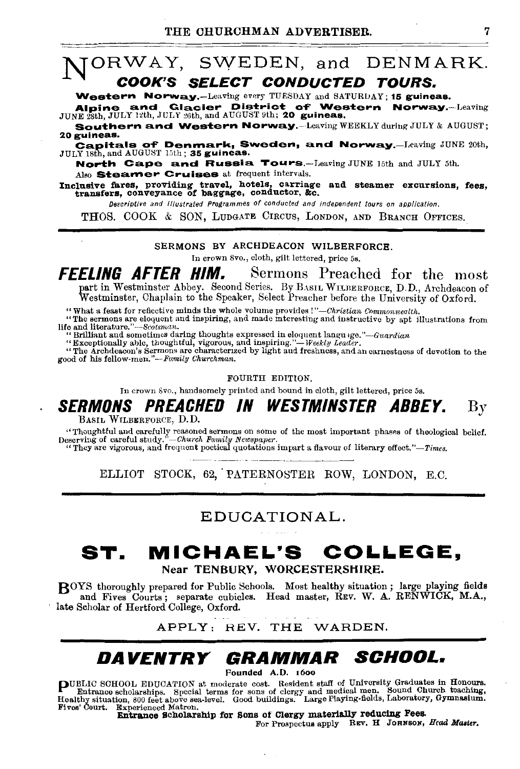## NORWAY, SWEDEN, and DENMARK. COOK'S SELECT CONDUCTED TOURS.

Western Norway.-Leaving every TUESDAY and SATURDAY; 15 guineas.

Alpine and Glacier District of Western Norway.-Leaving JUNE 28th, JULY 12th, JULY 26th, and AUGUST 9th; 20 guineas.

Southern and Western Norway.-Leaving WEEKLY during JULY & AUGUST; 20guineas.

Capitals of Denmark, Sweden, and Norway.—Leaving JUNE 20th, JULY 18th, and AUGUST 15th; 35 guineas.

North Cape and Russia. Tours.-Leaving JUNE 15th and JULY 5th. Also Steamer Cruises at frequent intervals.

Inclusive fares, providing travel, hotels, carriage and steamer excursions, fees, transfers, conveyance of baggage, conductor, &c.

Deecriptive and Illustrated Programmes of conducted and independent tours on application.

THOS. COOK & SON, LUDGATE CIRCUS, LONDON, AND BRANCH OFFICES.

#### SERMONS BY ARCHDEACON WILBERFORCE.

In crown Svo., cloth, gilt lettered, price 5s.

**FFELING AFTER HIM.** Sermons Preached for the most part in Westminster Abbey. Second Series. By BASIL WILBERFORCE, D.D., Archdeacon of Westminster, Chaplain to the Speaker, Select Preacher before the University of Oxford.

"What a feast for reflective minds the whole volume provides!"—Christian Commonwealth.<br>"The sermons are eloquent and inspiring, and made interesting and instructive by apt illustrations from

"The sermons are eloquent and inspiring, and made interesting and instructive by apt illustrations from<br>life and literature."—Scotsman.<br>"Shilliant and sometimes daring thoughts expressed in eloquent language."—Guardian

"Exceptionally able, thoughtful, vigorous, and inspiring." $\rightarrow$  Weekly Leader.<br>"The Archdeacon's Sermons are characterized by light aud freshness, and an earnestness of devotion to the good of his fellow-men."--Family Chur

FOURTH EDITION.

In crown Svo., handsomely printed and bound in cloth, gilt lettered, price 5s.

#### SERMONS PREACHED IN WESTMINSTER ABBEY. By

BASIL WILBERFORCE, D.D.

"Thoughtful and carefully reasoned sermons on some of the most important phases of theological belief. Deserving of careful study."-Church Family Newspaper.<br>
"They are vigorous, and frequent poetical quotations impart a flavour of literary effect."-Times.

ELLIOT STOCK, 62, PATERNOSTER ROW, LONDON, E.C.

### EDUCATIONAL.

## **ST. MICHAEL'S COLLEGE,**

#### Near TENBURY, WORCESTERSHIRE.

BOYS thoroughly prepared for Public Schools. Most healthy situation; large playing fields and Fives Courts ; separate cubicles. Head master, REv. W. A. RENWICK, M.A., late Scholar of Hertford College, Oxford.

APPLY: REV. THE WARDEN.

## *DAVENTRY GRAMMAR* **SCHOOL.**

Pounded A.D. 16oo

P UBLIC SCHOOL EDUCATION at moderate cost. Resident staff of University Graduates in Honours. Entrance scholarships. Special terms for sons of clergy and medi?al men. Sound Church teaching, Healthy situation, 800 feet above sea-level. Good buildings. Large Playing-fields, Laboratory, Gymnasium.<br>Fives' Court. Experienced Matron.<br>Entrance Scholarship for Sons of Clergy materially reducing Pees.<br>For Prospectus a